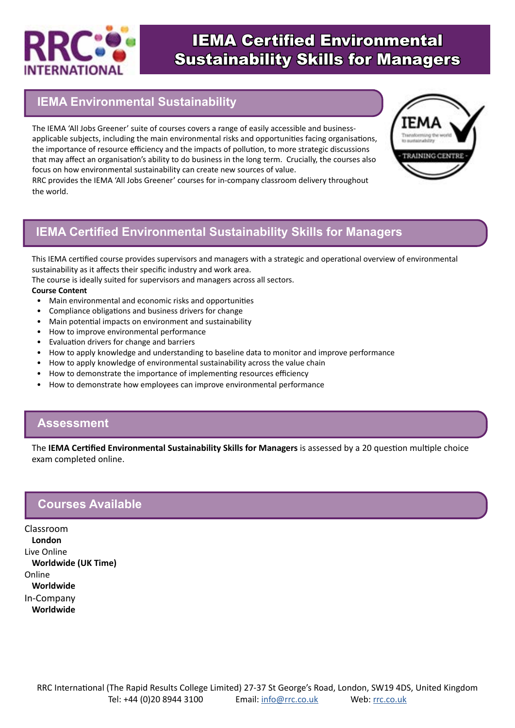

## IEMA Certified Environmental Sustainability Skills for Managers

### **IEMA Environmental Sustainability**

The IEMA 'All Jobs Greener' suite of courses covers a range of easily accessible and businessapplicable subjects, including the main environmental risks and opportunities facing organisations, the importance of resource efficiency and the impacts of pollution, to more strategic discussions that may affect an organisation's ability to do business in the long term. Crucially, the courses also focus on how environmental sustainability can create new sources of value.

RRC provides the IEMA 'All Jobs Greener' courses for in-company classroom delivery throughout the world.



### **IEMA Certified Environmental Sustainability Skills for Managers**

This IEMA certified course provides supervisors and managers with a strategic and operational overview of environmental sustainability as it affects their specific industry and work area.

The course is ideally suited for supervisors and managers across all sectors.

#### **Course Content**

- Main environmental and economic risks and opportunities
- Compliance obligations and business drivers for change
- Main potential impacts on environment and sustainability
- How to improve environmental performance
- Evaluation drivers for change and barriers
- How to apply knowledge and understanding to baseline data to monitor and improve performance
- How to apply knowledge of environmental sustainability across the value chain
- How to demonstrate the importance of implementing resources efficiency
- How to demonstrate how employees can improve environmental performance

#### **Assessment**

The **IEMA Certified Environmental Sustainability Skills for Managers** is assessed by a 20 question multiple choice exam completed online.

### **Courses Available**

Classroom **London** Live Online **Worldwide (UK Time)** Online **Worldwide** In-Company **Worldwide**